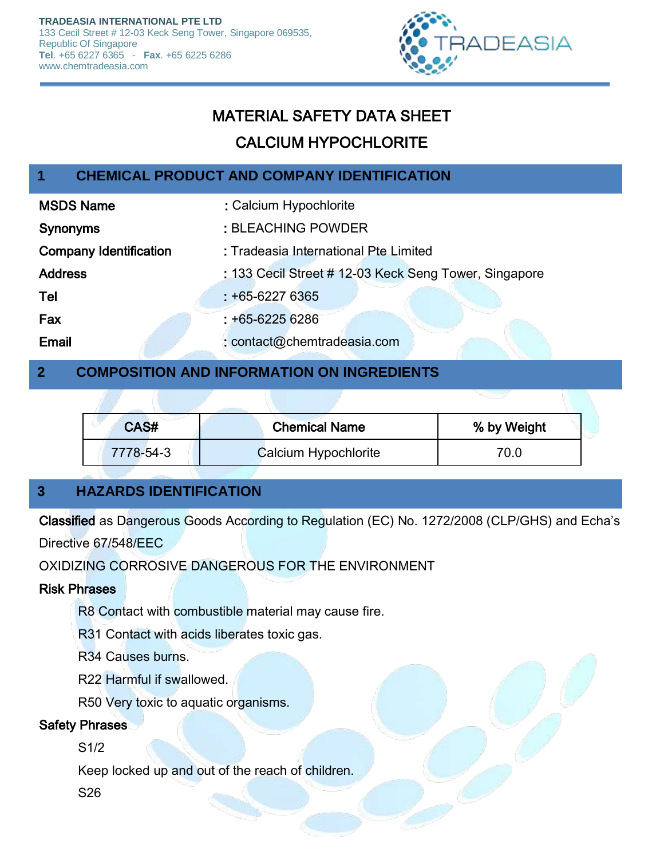

# MATERIAL SAFETY DATA SHEET

# CALCIUM HYPOCHLORITE

## **1 CHEMICAL PRODUCT AND COMPANY IDENTIFICATION**

| <b>MSDS Name</b>              | : Calcium Hypochlorite                                |
|-------------------------------|-------------------------------------------------------|
| <b>Synonyms</b>               | : BLEACHING POWDER                                    |
| <b>Company Identification</b> | : Tradeasia International Pte Limited                 |
| <b>Address</b>                | : 133 Cecil Street # 12-03 Keck Seng Tower, Singapore |
| Tel                           | $: +65 - 62276365$                                    |
| Fax                           | $: +65 - 62256$                                       |
| Email                         | : contact@chemtradeasia.com                           |

## **2 COMPOSITION AND INFORMATION ON INGREDIENTS**

| CAS#      | <b>Chemical Name</b> | % by Weight |  |
|-----------|----------------------|-------------|--|
| 7778-54-3 | Calcium Hypochlorite | 70.0        |  |

## **3 HAZARDS IDENTIFICATION**

Classified as Dangerous Goods According to Regulation (EC) No. 1272/2008 (CLP/GHS) and Echa's

Directive 67/548/EEC

OXIDIZING CORROSIVE DANGEROUS FOR THE ENVIRONMENT

#### Risk Phrases

R8 Contact with combustible material may cause fire.

R31 Contact with acids liberates toxic gas.

R34 Causes burns.

R22 Harmful if swallowed.

R50 Very toxic to aquatic organisms.

#### Safety Phrases

S1/2

Keep locked up and out of the reach of children.

S26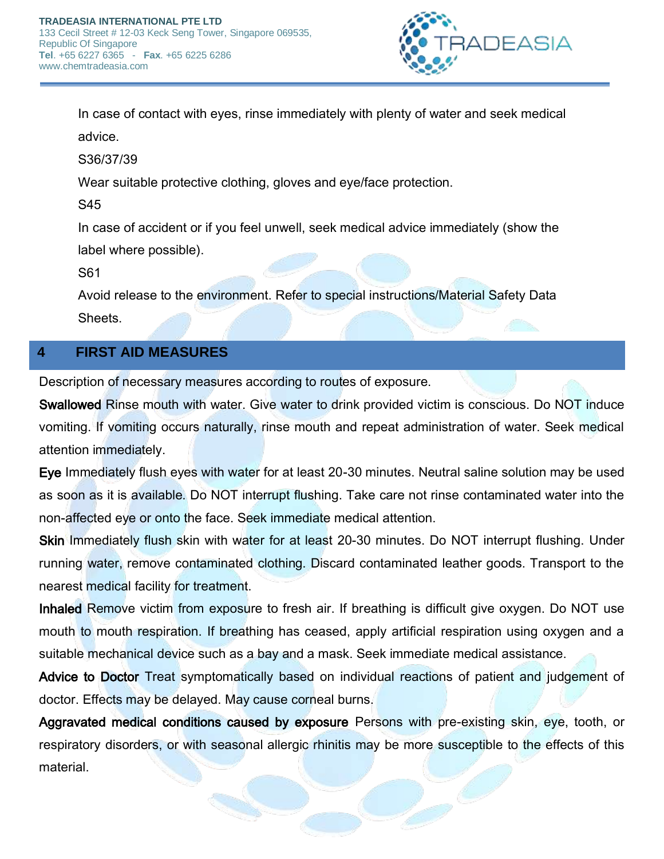

In case of contact with eyes, rinse immediately with plenty of water and seek medical advice.

S36/37/39

Wear suitable protective clothing, gloves and eye/face protection.

S45

In case of accident or if you feel unwell, seek medical advice immediately (show the label where possible).

S61

Avoid release to the environment. Refer to special instructions/Material Safety Data Sheets.

#### **4 FIRST AID MEASURES**

Description of necessary measures according to routes of exposure.

Swallowed Rinse mouth with water. Give water to drink provided victim is conscious. Do NOT induce vomiting. If vomiting occurs naturally, rinse mouth and repeat administration of water. Seek medical attention immediately.

Eye Immediately flush eyes with water for at least 20-30 minutes. Neutral saline solution may be used as soon as it is available. Do NOT interrupt flushing. Take care not rinse contaminated water into the non-affected eye or onto the face. Seek immediate medical attention.

Skin Immediately flush skin with water for at least 20-30 minutes. Do NOT interrupt flushing. Under running water, remove contaminated clothing. Discard contaminated leather goods. Transport to the nearest medical facility for treatment.

Inhaled Remove victim from exposure to fresh air. If breathing is difficult give oxygen. Do NOT use mouth to mouth respiration. If breathing has ceased, apply artificial respiration using oxygen and a suitable mechanical device such as a bay and a mask. Seek immediate medical assistance.

Advice to Doctor Treat symptomatically based on individual reactions of patient and judgement of doctor. Effects may be delayed. May cause corneal burns.

Aggravated medical conditions caused by exposure Persons with pre-existing skin, eye, tooth, or respiratory disorders, or with seasonal allergic rhinitis may be more susceptible to the effects of this material.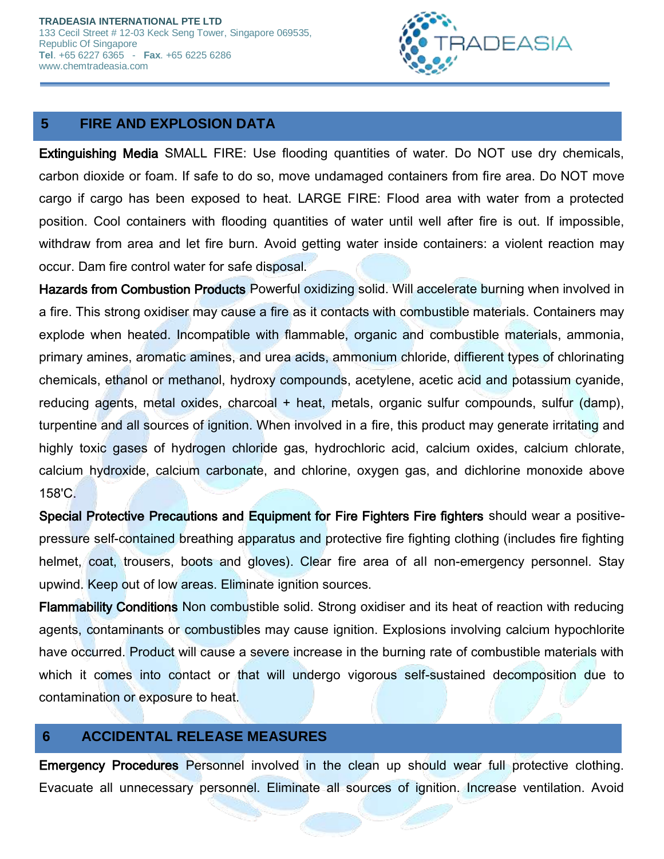

## **5 FIRE AND EXPLOSION DATA**

Extinguishing Media SMALL FIRE: Use flooding quantities of water. Do NOT use dry chemicals, carbon dioxide or foam. If safe to do so, move undamaged containers from fire area. Do NOT move cargo if cargo has been exposed to heat. LARGE FIRE: Flood area with water from a protected position. Cool containers with flooding quantities of water until well after fire is out. If impossible, withdraw from area and let fire burn. Avoid getting water inside containers: a violent reaction may occur. Dam fire control water for safe disposal.

Hazards from Combustion Products Powerful oxidizing solid. Will accelerate burning when involved in a fire. This strong oxidiser may cause a fire as it contacts with combustible materials. Containers may explode when heated. Incompatible with flammable, organic and combustible materials, ammonia, primary amines, aromatic amines, and urea acids, ammonium chloride, diffierent types of chlorinating chemicals, ethanol or methanol, hydroxy compounds, acetylene, acetic acid and potassium cyanide, reducing agents, metal oxides, charcoal + heat, metals, organic sulfur compounds, sulfur (damp), turpentine and all sources of ignition. When involved in a fire, this product may generate irritating and highly toxic gases of hydrogen chloride gas, hydrochloric acid, calcium oxides, calcium chlorate, calcium hydroxide, calcium carbonate, and chlorine, oxygen gas, and dichlorine monoxide above 158'C.

Special Protective Precautions and Equipment for Fire Fighters Fire fighters should wear a positivepressure self-contained breathing apparatus and protective fire fighting clothing (includes fire fighting helmet, coat, trousers, boots and gloves). Clear fire area of all non-emergency personnel. Stay upwind. Keep out of low areas. Eliminate ignition sources.

Flammability Conditions Non combustible solid. Strong oxidiser and its heat of reaction with reducing agents, contaminants or combustibles may cause ignition. Explosions involving calcium hypochlorite have occurred. Product will cause a severe increase in the burning rate of combustible materials with which it comes into contact or that will undergo vigorous self-sustained decomposition due to contamination or exposure to heat.

#### **6 ACCIDENTAL RELEASE MEASURES**

Emergency Procedures Personnel involved in the clean up should wear full protective clothing. Evacuate all unnecessary personnel. Eliminate all sources of ignition. Increase ventilation. Avoid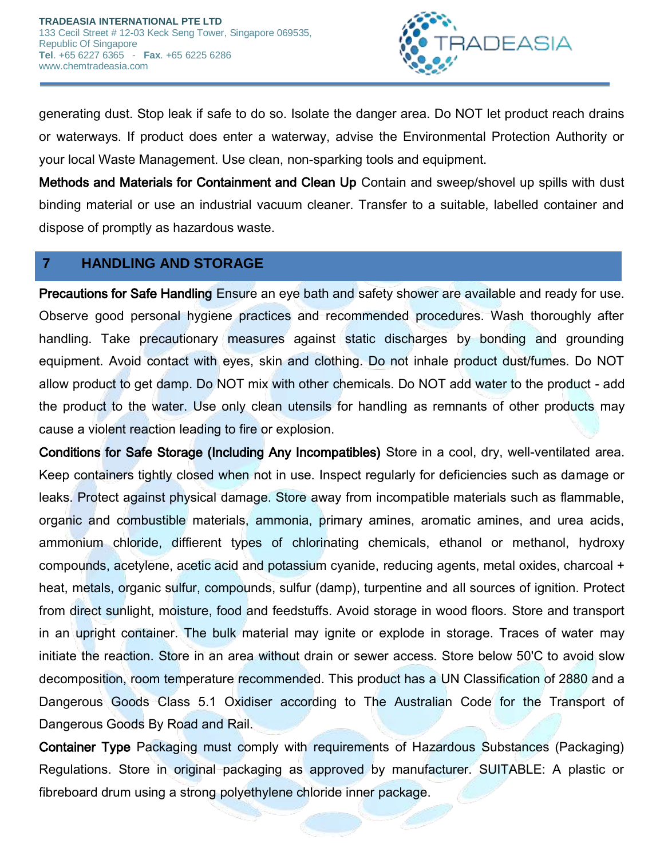

generating dust. Stop leak if safe to do so. Isolate the danger area. Do NOT let product reach drains or waterways. If product does enter a waterway, advise the Environmental Protection Authority or your local Waste Management. Use clean, non-sparking tools and equipment.

Methods and Materials for Containment and Clean Up Contain and sweep/shovel up spills with dust binding material or use an industrial vacuum cleaner. Transfer to a suitable, labelled container and dispose of promptly as hazardous waste.

## **7 HANDLING AND STORAGE**

Precautions for Safe Handling Ensure an eye bath and safety shower are available and ready for use. Observe good personal hygiene practices and recommended procedures. Wash thoroughly after handling. Take precautionary measures against static discharges by bonding and grounding equipment. Avoid contact with eyes, skin and clothing. Do not inhale product dust/fumes. Do NOT allow product to get damp. Do NOT mix with other chemicals. Do NOT add water to the product - add the product to the water. Use only clean utensils for handling as remnants of other products may cause a violent reaction leading to fire or explosion.

Conditions for Safe Storage (Including Any Incompatibles) Store in a cool, dry, well-ventilated area. Keep containers tightly closed when not in use. Inspect regularly for deficiencies such as damage or leaks. Protect against physical damage. Store away from incompatible materials such as flammable, organic and combustible materials, ammonia, primary amines, aromatic amines, and urea acids, ammonium chloride, diffierent types of chlorinating chemicals, ethanol or methanol, hydroxy compounds, acetylene, acetic acid and potassium cyanide, reducing agents, metal oxides, charcoal + heat, metals, organic sulfur, compounds, sulfur (damp), turpentine and all sources of ignition. Protect from direct sunlight, moisture, food and feedstuffs. Avoid storage in wood floors. Store and transport in an upright container. The bulk material may ignite or explode in storage. Traces of water may initiate the reaction. Store in an area without drain or sewer access. Store below 50'C to avoid slow decomposition, room temperature recommended. This product has a UN Classification of 2880 and a Dangerous Goods Class 5.1 Oxidiser according to The Australian Code for the Transport of Dangerous Goods By Road and Rail.

Container Type Packaging must comply with requirements of Hazardous Substances (Packaging) Regulations. Store in original packaging as approved by manufacturer. SUITABLE: A plastic or fibreboard drum using a strong polyethylene chloride inner package.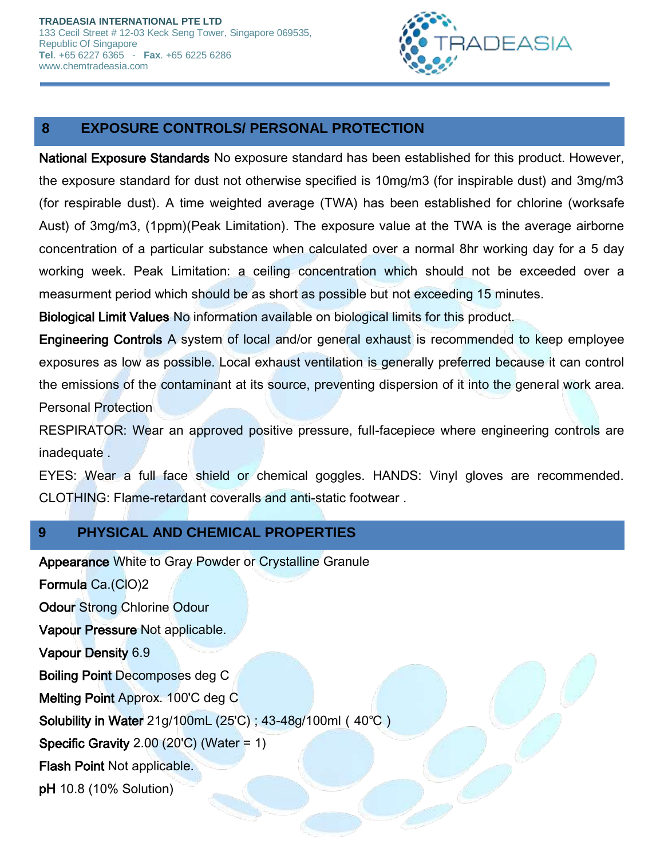

## **8 EXPOSURE CONTROLS/ PERSONAL PROTECTION**

National Exposure Standards No exposure standard has been established for this product. However, the exposure standard for dust not otherwise specified is 10mg/m3 (for inspirable dust) and 3mg/m3 (for respirable dust). A time weighted average (TWA) has been established for chlorine (worksafe Aust) of 3mg/m3, (1ppm)(Peak Limitation). The exposure value at the TWA is the average airborne concentration of a particular substance when calculated over a normal 8hr working day for a 5 day working week. Peak Limitation: a ceiling concentration which should not be exceeded over a measurment period which should be as short as possible but not exceeding 15 minutes.

Biological Limit Values No information available on biological limits for this product.

Engineering Controls A system of local and/or general exhaust is recommended to keep employee exposures as low as possible. Local exhaust ventilation is generally preferred because it can control the emissions of the contaminant at its source, preventing dispersion of it into the general work area. Personal Protection

RESPIRATOR: Wear an approved positive pressure, full-facepiece where engineering controls are inadequate .

EYES: Wear a full face shield or chemical goggles. HANDS: Vinyl gloves are recommended. CLOTHING: Flame-retardant coveralls and anti-static footwear .

## **9 PHYSICAL AND CHEMICAL PROPERTIES**

Appearance White to Gray Powder or Crystalline Granule

Formula Ca.(ClO)2 Odour Strong Chlorine Odour Vapour Pressure Not applicable. Vapour Density 6.9 Boiling Point Decomposes deg C Melting Point Approx. 100'C deg C Solubility in Water 21g/100mL (25'C) ; 43-48g/100ml(40℃) Specific Gravity  $2.00$  ( $20^{\circ}$ C) (Water = 1) Flash Point Not applicable. pH 10.8 (10% Solution)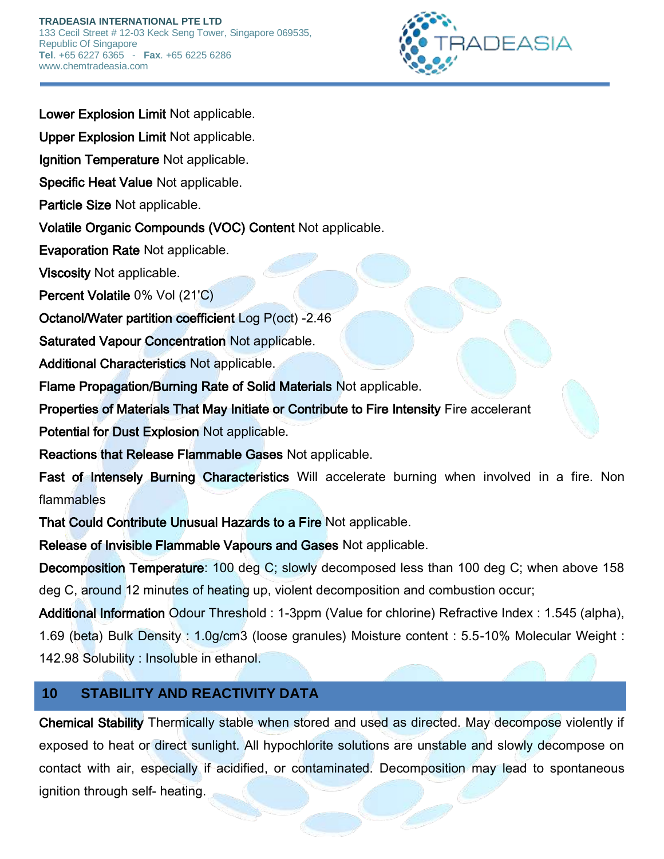

Lower Explosion Limit Not applicable.

Upper Explosion Limit Not applicable.

Ignition Temperature Not applicable.

Specific Heat Value Not applicable.

Particle Size Not applicable.

Volatile Organic Compounds (VOC) Content Not applicable.

Evaporation Rate Not applicable.

Viscosity Not applicable.

Percent Volatile 0% Vol (21'C)

Octanol/Water partition coefficient Log P(oct) -2.46

Saturated Vapour Concentration Not applicable.

Additional Characteristics Not applicable.

Flame Propagation/Burning Rate of Solid Materials Not applicable.

Properties of Materials That May Initiate or Contribute to Fire Intensity Fire accelerant

Potential for Dust Explosion Not applicable.

Reactions that Release Flammable Gases Not applicable.

Fast of Intensely Burning Characteristics Will accelerate burning when involved in a fire. Non flammables

That Could Contribute Unusual Hazards to a Fire Not applicable.

Release of Invisible Flammable Vapours and Gases Not applicable.

Decomposition Temperature: 100 deg C; slowly decomposed less than 100 deg C; when above 158 deg C, around 12 minutes of heating up, violent decomposition and combustion occur;

Additional Information Odour Threshold : 1-3ppm (Value for chlorine) Refractive Index : 1.545 (alpha), 1.69 (beta) Bulk Density : 1.0g/cm3 (loose granules) Moisture content : 5.5-10% Molecular Weight : 142.98 Solubility : Insoluble in ethanol.

## **10 STABILITY AND REACTIVITY DATA**

Chemical Stability Thermically stable when stored and used as directed. May decompose violently if exposed to heat or direct sunlight. All hypochlorite solutions are unstable and slowly decompose on contact with air, especially if acidified, or contaminated. Decomposition may lead to spontaneous ignition through self- heating.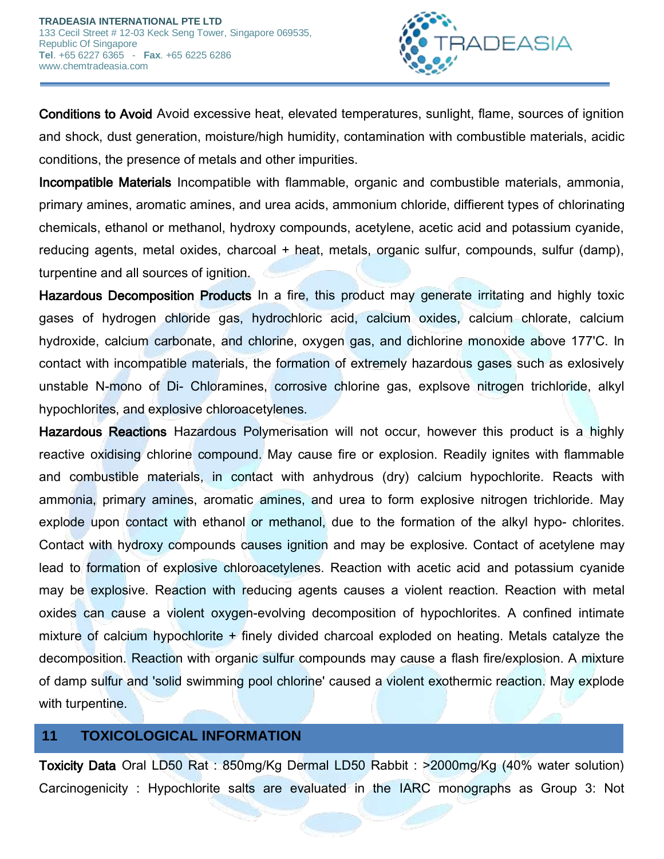

Conditions to Avoid Avoid excessive heat, elevated temperatures, sunlight, flame, sources of ignition and shock, dust generation, moisture/high humidity, contamination with combustible materials, acidic conditions, the presence of metals and other impurities.

Incompatible Materials Incompatible with flammable, organic and combustible materials, ammonia, primary amines, aromatic amines, and urea acids, ammonium chloride, diffierent types of chlorinating chemicals, ethanol or methanol, hydroxy compounds, acetylene, acetic acid and potassium cyanide, reducing agents, metal oxides, charcoal + heat, metals, organic sulfur, compounds, sulfur (damp), turpentine and all sources of ignition.

Hazardous Decomposition Products In a fire, this product may generate irritating and highly toxic gases of hydrogen chloride gas, hydrochloric acid, calcium oxides, calcium chlorate, calcium hydroxide, calcium carbonate, and chlorine, oxygen gas, and dichlorine monoxide above 177'C. In contact with incompatible materials, the formation of extremely hazardous gases such as exlosively unstable N-mono of Di- Chloramines, corrosive chlorine gas, explsove nitrogen trichloride, alkyl hypochlorites, and explosive chloroacetylenes.

Hazardous Reactions Hazardous Polymerisation will not occur, however this product is a highly reactive oxidising chlorine compound. May cause fire or explosion. Readily ignites with flammable and combustible materials, in contact with anhydrous (dry) calcium hypochlorite. Reacts with ammonia, primary amines, aromatic amines, and urea to form explosive nitrogen trichloride. May explode upon contact with ethanol or methanol, due to the formation of the alkyl hypo- chlorites. Contact with hydroxy compounds causes ignition and may be explosive. Contact of acetylene may lead to formation of explosive chloroacetylenes. Reaction with acetic acid and potassium cyanide may be explosive. Reaction with reducing agents causes a violent reaction. Reaction with metal oxides can cause a violent oxygen-evolving decomposition of hypochlorites. A confined intimate mixture of calcium hypochlorite + finely divided charcoal exploded on heating. Metals catalyze the decomposition. Reaction with organic sulfur compounds may cause a flash fire/explosion. A mixture of damp sulfur and 'solid swimming pool chlorine' caused a violent exothermic reaction. May explode with turpentine.

#### **11 TOXICOLOGICAL INFORMATION**

Toxicity Data Oral LD50 Rat : 850mg/Kg Dermal LD50 Rabbit : >2000mg/Kg (40% water solution) Carcinogenicity : Hypochlorite salts are evaluated in the IARC monographs as Group 3: Not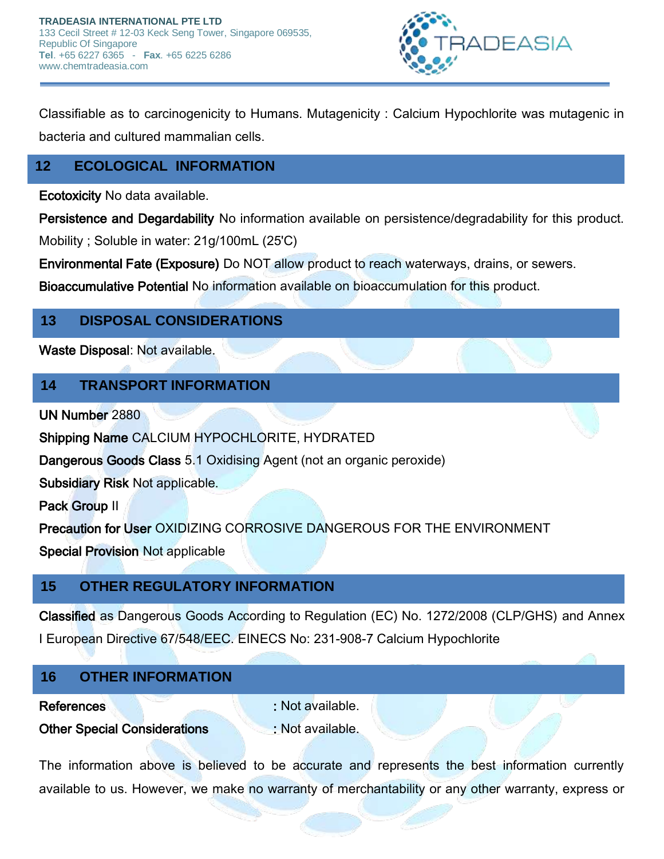

Classifiable as to carcinogenicity to Humans. Mutagenicity : Calcium Hypochlorite was mutagenic in bacteria and cultured mammalian cells.

# **12 ECOLOGICAL INFORMATION**

Ecotoxicity No data available.

Persistence and Degardability No information available on persistence/degradability for this product.

Mobility ; Soluble in water: 21g/100mL (25'C)

Environmental Fate (Exposure) Do NOT allow product to reach waterways, drains, or sewers.

Bioaccumulative Potential No information available on bioaccumulation for this product.

## **13 DISPOSAL CONSIDERATIONS**

Waste Disposal: Not available.

#### **14 TRANSPORT INFORMATION**

UN Number 2880

Shipping Name CALCIUM HYPOCHLORITE, HYDRATED

Dangerous Goods Class 5.1 Oxidising Agent (not an organic peroxide)

Subsidiary Risk Not applicable.

Pack Group II

Precaution for User OXIDIZING CORROSIVE DANGEROUS FOR THE ENVIRONMENT Special Provision Not applicable

## **15 OTHER REGULATORY INFORMATION**

Classified as Dangerous Goods According to Regulation (EC) No. 1272/2008 (CLP/GHS) and Annex I European Directive 67/548/EEC. EINECS No: 231-908-7 Calcium Hypochlorite

## **16 OTHER INFORMATION**

**References** : Not available.

#### Other Special Considerations : Not available.

The information above is believed to be accurate and represents the best information currently available to us. However, we make no warranty of merchantability or any other warranty, express or